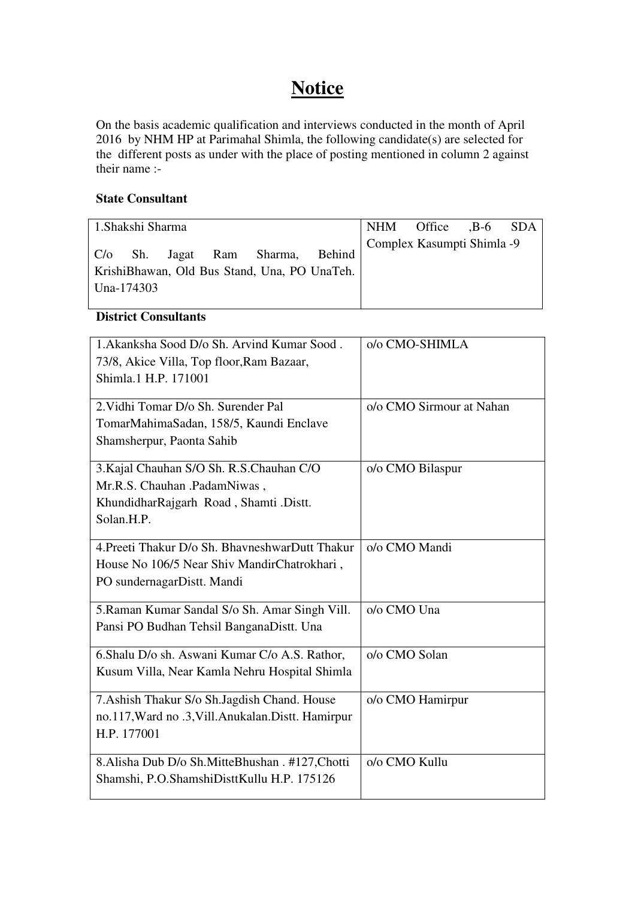# **Notice**

On the basis academic qualification and interviews conducted in the month of April 2016 by NHM HP at Parimahal Shimla, the following candidate(s) are selected for the different posts as under with the place of posting mentioned in column 2 against their name :-

#### **State Consultant**

| 1. Shakshi Sharma |  |                                                                                  |  | NHM Office ,B-6 SDA        |  |
|-------------------|--|----------------------------------------------------------------------------------|--|----------------------------|--|
| Una-174303        |  | C/o Sh. Jagat Ram Sharma, Behind<br>KrishiBhawan, Old Bus Stand, Una, PO UnaTeh. |  | Complex Kasumpti Shimla -9 |  |

#### **District Consultants**

| 1. Akanksha Sood D/o Sh. Arvind Kumar Sood.         | o/o CMO-SHIMLA           |
|-----------------------------------------------------|--------------------------|
| 73/8, Akice Villa, Top floor, Ram Bazaar,           |                          |
| Shimla.1 H.P. 171001                                |                          |
|                                                     |                          |
| 2. Vidhi Tomar D/o Sh. Surender Pal                 | o/o CMO Sirmour at Nahan |
| TomarMahimaSadan, 158/5, Kaundi Enclave             |                          |
| Shamsherpur, Paonta Sahib                           |                          |
|                                                     |                          |
| 3. Kajal Chauhan S/O Sh. R.S. Chauhan C/O           | o/o CMO Bilaspur         |
| Mr.R.S. Chauhan .PadamNiwas,                        |                          |
| KhundidharRajgarh Road, Shamti .Distt.              |                          |
| Solan.H.P.                                          |                          |
|                                                     |                          |
| 4. Preeti Thakur D/o Sh. BhavneshwarDutt Thakur     | o/o CMO Mandi            |
| House No 106/5 Near Shiv MandirChatrokhari,         |                          |
| PO sundernagarDistt. Mandi                          |                          |
| 5. Raman Kumar Sandal S/o Sh. Amar Singh Vill.      | o/o CMO Una              |
| Pansi PO Budhan Tehsil BanganaDistt. Una            |                          |
|                                                     |                          |
| 6.Shalu D/o sh. Aswani Kumar C/o A.S. Rathor,       | o/o CMO Solan            |
| Kusum Villa, Near Kamla Nehru Hospital Shimla       |                          |
|                                                     |                          |
| 7. Ashish Thakur S/o Sh. Jagdish Chand. House       | o/o CMO Hamirpur         |
| no.117, Ward no .3, Vill. Anukalan. Distt. Hamirpur |                          |
| H.P. 177001                                         |                          |
|                                                     |                          |
| 8.Alisha Dub D/o Sh.MitteBhushan . #127, Chotti     | o/o CMO Kullu            |
| Shamshi, P.O.ShamshiDisttKullu H.P. 175126          |                          |
|                                                     |                          |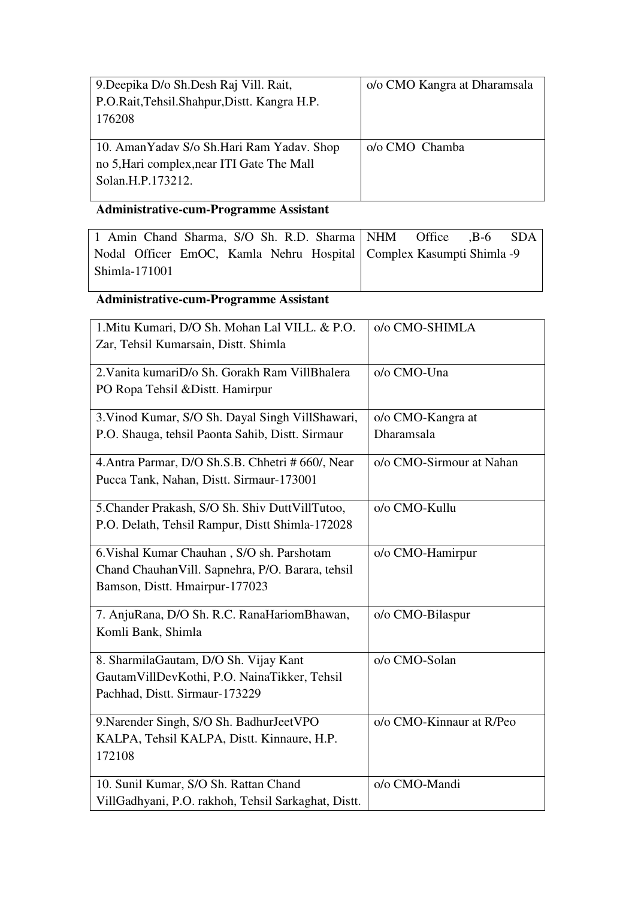| 9. Deepika D/o Sh. Desh Raj Vill. Rait,       | o/o CMO Kangra at Dharamsala |
|-----------------------------------------------|------------------------------|
| P.O.Rait, Tehsil. Shahpur, Distt. Kangra H.P. |                              |
| 176208                                        |                              |
|                                               |                              |
| 10. AmanYaday S/o Sh.Hari Ram Yaday. Shop     | o/o CMO Chamba               |
| no 5, Hari complex, near ITI Gate The Mall    |                              |
| Solan.H.P.173212.                             |                              |
|                                               |                              |

# **Administrative-cum-Programme Assistant**

| 1 Amin Chand Sharma, S/O Sh. R.D. Sharma NHM Office , B-6 SDA         |  |
|-----------------------------------------------------------------------|--|
| Nodal Officer EmOC, Kamla Nehru Hospital   Complex Kasumpti Shimla -9 |  |
| Shimla-171001                                                         |  |

## **Administrative-cum-Programme Assistant**

| 1. Mitu Kumari, D/O Sh. Mohan Lal VILL. & P.O.      | o/o CMO-SHIMLA           |
|-----------------------------------------------------|--------------------------|
| Zar, Tehsil Kumarsain, Distt. Shimla                |                          |
| 2. Vanita kumariD/o Sh. Gorakh Ram VillBhalera      | o/o CMO-Una              |
| PO Ropa Tehsil & Distt. Hamirpur                    |                          |
|                                                     |                          |
| 3. Vinod Kumar, S/O Sh. Dayal Singh VillShawari,    | o/o CMO-Kangra at        |
| P.O. Shauga, tehsil Paonta Sahib, Distt. Sirmaur    | Dharamsala               |
| 4. Antra Parmar, D/O Sh.S.B. Chhetri # 660/, Near   | o/o CMO-Sirmour at Nahan |
| Pucca Tank, Nahan, Distt. Sirmaur-173001            |                          |
| 5. Chander Prakash, S/O Sh. Shiv DuttVillTutoo,     | o/o CMO-Kullu            |
| P.O. Delath, Tehsil Rampur, Distt Shimla-172028     |                          |
| 6. Vishal Kumar Chauhan, S/O sh. Parshotam          | o/o CMO-Hamirpur         |
| Chand Chauhan Vill. Sapnehra, P/O. Barara, tehsil   |                          |
| Bamson, Distt. Hmairpur-177023                      |                          |
| 7. AnjuRana, D/O Sh. R.C. RanaHariomBhawan,         | o/o CMO-Bilaspur         |
| Komli Bank, Shimla                                  |                          |
| 8. SharmilaGautam, D/O Sh. Vijay Kant               | o/o CMO-Solan            |
| GautamVillDevKothi, P.O. NainaTikker, Tehsil        |                          |
| Pachhad, Distt. Sirmaur-173229                      |                          |
| 9. Narender Singh, S/O Sh. BadhurJeetVPO            | o/o CMO-Kinnaur at R/Peo |
| KALPA, Tehsil KALPA, Distt. Kinnaure, H.P.          |                          |
| 172108                                              |                          |
| 10. Sunil Kumar, S/O Sh. Rattan Chand               | o/o CMO-Mandi            |
| VillGadhyani, P.O. rakhoh, Tehsil Sarkaghat, Distt. |                          |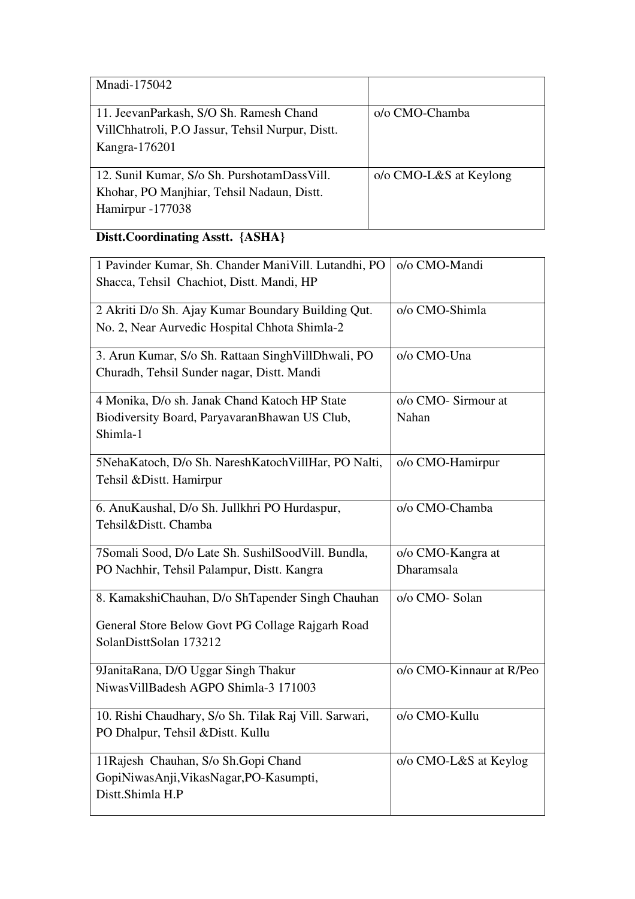| Mnadi-175042                                                                                                  |                          |
|---------------------------------------------------------------------------------------------------------------|--------------------------|
| 11. JeevanParkash, S/O Sh. Ramesh Chand<br>VillChhatroli, P.O Jassur, Tehsil Nurpur, Distt.<br>Kangra-176201  | o/o CMO-Chamba           |
| 12. Sunil Kumar, S/o Sh. PurshotamDassVill.<br>Khohar, PO Manjhiar, Tehsil Nadaun, Distt.<br>Hamirpur -177038 | $o/o$ CMO-L&S at Keylong |

## **Distt.Coordinating Asstt. {ASHA}**

| 1 Pavinder Kumar, Sh. Chander ManiVill. Lutandhi, PO  | o/o CMO-Mandi            |
|-------------------------------------------------------|--------------------------|
| Shacca, Tehsil Chachiot, Distt. Mandi, HP             |                          |
| 2 Akriti D/o Sh. Ajay Kumar Boundary Building Qut.    | o/o CMO-Shimla           |
| No. 2, Near Aurvedic Hospital Chhota Shimla-2         |                          |
| 3. Arun Kumar, S/o Sh. Rattaan SinghVillDhwali, PO    | o/o CMO-Una              |
| Churadh, Tehsil Sunder nagar, Distt. Mandi            |                          |
| 4 Monika, D/o sh. Janak Chand Katoch HP State         | o/o CMO- Sirmour at      |
| Biodiversity Board, ParyavaranBhawan US Club,         | Nahan                    |
| Shimla-1                                              |                          |
| 5NehaKatoch, D/o Sh. NareshKatochVillHar, PO Nalti,   | o/o CMO-Hamirpur         |
| Tehsil & Distt. Hamirpur                              |                          |
| 6. AnuKaushal, D/o Sh. Jullkhri PO Hurdaspur,         | o/o CMO-Chamba           |
| Tehsil&Distt. Chamba                                  |                          |
| 7Somali Sood, D/o Late Sh. SushilSoodVill. Bundla,    | o/o CMO-Kangra at        |
| PO Nachhir, Tehsil Palampur, Distt. Kangra            | Dharamsala               |
| 8. KamakshiChauhan, D/o ShTapender Singh Chauhan      | o/o CMO- Solan           |
| General Store Below Govt PG Collage Rajgarh Road      |                          |
| SolanDisttSolan 173212                                |                          |
| 9JanitaRana, D/O Uggar Singh Thakur                   | o/o CMO-Kinnaur at R/Peo |
| Niwas VillBadesh AGPO Shimla-3 171003                 |                          |
| 10. Rishi Chaudhary, S/o Sh. Tilak Raj Vill. Sarwari, | o/o CMO-Kullu            |
| PO Dhalpur, Tehsil & Distt. Kullu                     |                          |
| 11 Rajesh Chauhan, S/o Sh. Gopi Chand                 | o/o CMO-L&S at Keylog    |
| GopiNiwasAnji, VikasNagar, PO-Kasumpti,               |                          |
| Distt.Shimla H.P                                      |                          |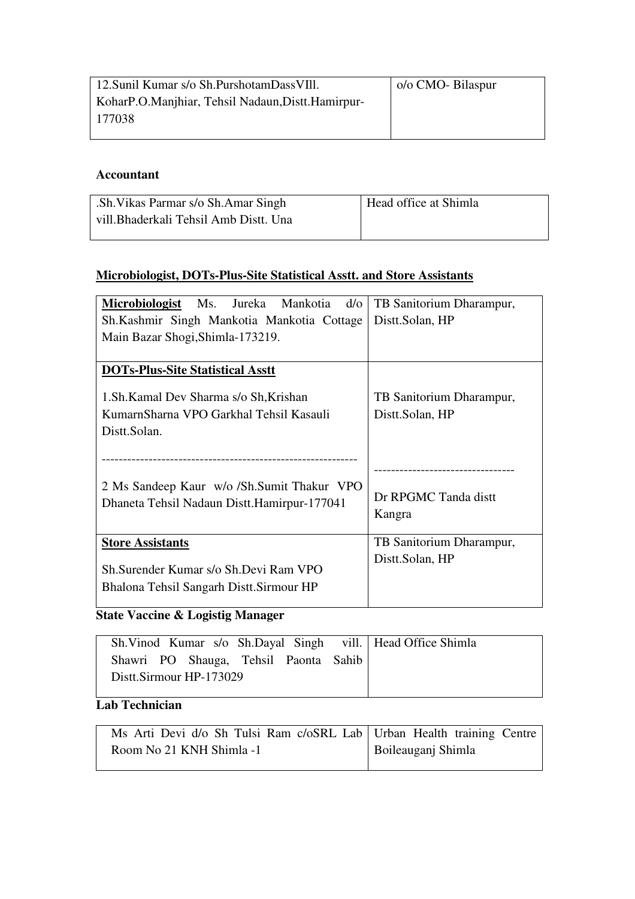| 12. Sunil Kumar s/o Sh. Purshotam Dass VIII.      | o/o CMO- Bilaspur |
|---------------------------------------------------|-------------------|
| KoharP.O.Manjhiar, Tehsil Nadaun, Distt.Hamirpur- |                   |
| 177038                                            |                   |
|                                                   |                   |

#### **Accountant**

| .Sh. Vikas Parmar s/o Sh. Amar Singh   | Head office at Shimla |
|----------------------------------------|-----------------------|
| vill. Bhaderkali Tehsil Amb Distt. Una |                       |

### **Microbiologist, DOTs-Plus-Site Statistical Asstt. and Store Assistants**

| Microbiologist Ms. Jureka Mankotia<br>$d$ /0                                                                   | TB Sanitorium Dharampur,                    |
|----------------------------------------------------------------------------------------------------------------|---------------------------------------------|
| Sh.Kashmir Singh Mankotia Mankotia Cottage                                                                     | Distt.Solan, HP                             |
| Main Bazar Shogi, Shimla-173219.                                                                               |                                             |
|                                                                                                                |                                             |
| <b>DOTs-Plus-Site Statistical Asstt</b>                                                                        |                                             |
| 1. Sh. Kamal Dev Sharma s/o Sh, Krishan<br>KumarnSharna VPO Garkhal Tehsil Kasauli<br>Distt.Solan.             | TB Sanitorium Dharampur,<br>Distt.Solan, HP |
| 2 Ms Sandeep Kaur w/o /Sh.Sumit Thakur VPO<br>Dhaneta Tehsil Nadaun Distt. Hamirpur-177041                     | Dr RPGMC Tanda distt<br>Kangra              |
| <b>Store Assistants</b><br>Sh. Surender Kumar s/o Sh. Devi Ram VPO<br>Bhalona Tehsil Sangarh Distt. Sirmour HP | TB Sanitorium Dharampur,<br>Distt.Solan, HP |

### **State Vaccine & Logistig Manager**

|                                       |  |  |  | Sh. Vinod Kumar s/o Sh. Dayal Singh vill.   Head Office Shimla |
|---------------------------------------|--|--|--|----------------------------------------------------------------|
| Shawri PO Shauga, Tehsil Paonta Sahib |  |  |  |                                                                |
| Distt.Sirmour HP-173029               |  |  |  |                                                                |

### **Lab Technician**

| Ms Arti Devi d/o Sh Tulsi Ram c/oSRL Lab Urban Health training Centre |                    |
|-----------------------------------------------------------------------|--------------------|
| Room No 21 KNH Shimla -1                                              | Boileauganj Shimla |